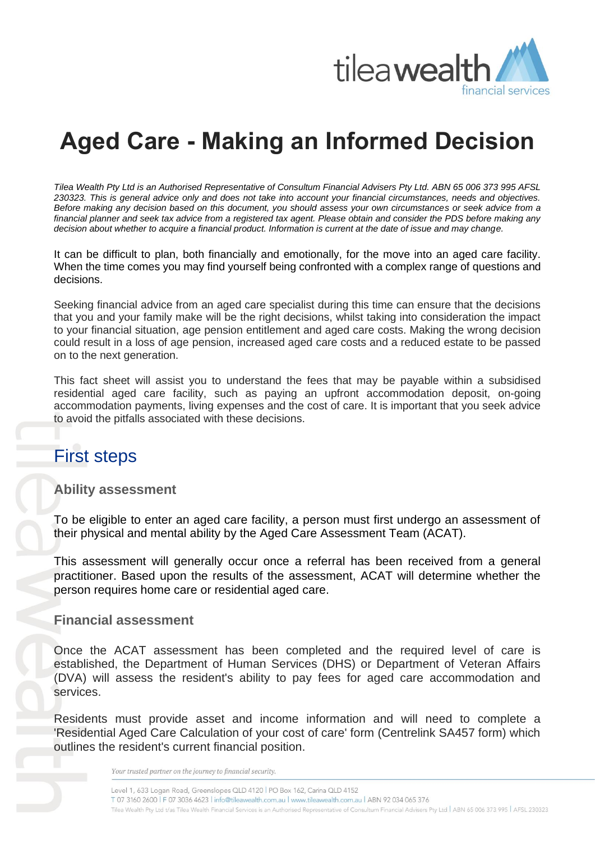

# **Aged Care - Making an Informed Decision**

*Tilea Wealth Pty Ltd is an Authorised Representative of Consultum Financial Advisers Pty Ltd. ABN 65 006 373 995 AFSL 230323. This is general advice only and does not take into account your financial circumstances, needs and objectives. Before making any decision based on this document, you should assess your own circumstances or seek advice from a financial planner and seek tax advice from a registered tax agent. Please obtain and consider the PDS before making any decision about whether to acquire a financial product. Information is current at the date of issue and may change.*

It can be difficult to plan, both financially and emotionally, for the move into an aged care facility. When the time comes you may find yourself being confronted with a complex range of questions and decisions.

Seeking financial advice from an aged care specialist during this time can ensure that the decisions that you and your family make will be the right decisions, whilst taking into consideration the impact to your financial situation, age pension entitlement and aged care costs. Making the wrong decision could result in a loss of age pension, increased aged care costs and a reduced estate to be passed on to the next generation.

This fact sheet will assist you to understand the fees that may be payable within a subsidised residential aged care facility, such as paying an upfront accommodation deposit, on-going accommodation payments, living expenses and the cost of care. It is important that you seek advice to avoid the pitfalls associated with these decisions.

# First steps

## **Ability assessment**

To be eligible to enter an aged care facility, a person must first undergo an assessment of their physical and mental ability by the Aged Care Assessment Team (ACAT).

This assessment will generally occur once a referral has been received from a general practitioner. Based upon the results of the assessment, ACAT will determine whether the person requires home care or residential aged care.

#### **Financial assessment**

Once the ACAT assessment has been completed and the required level of care is established, the Department of Human Services (DHS) or Department of Veteran Affairs (DVA) will assess the resident's ability to pay fees for aged care accommodation and services.

Residents must provide asset and income information and will need to complete a 'Residential Aged Care Calculation of your cost of care' form (Centrelink SA457 form) which outlines the resident's current financial position.

Your trusted partner on the journey to financial security.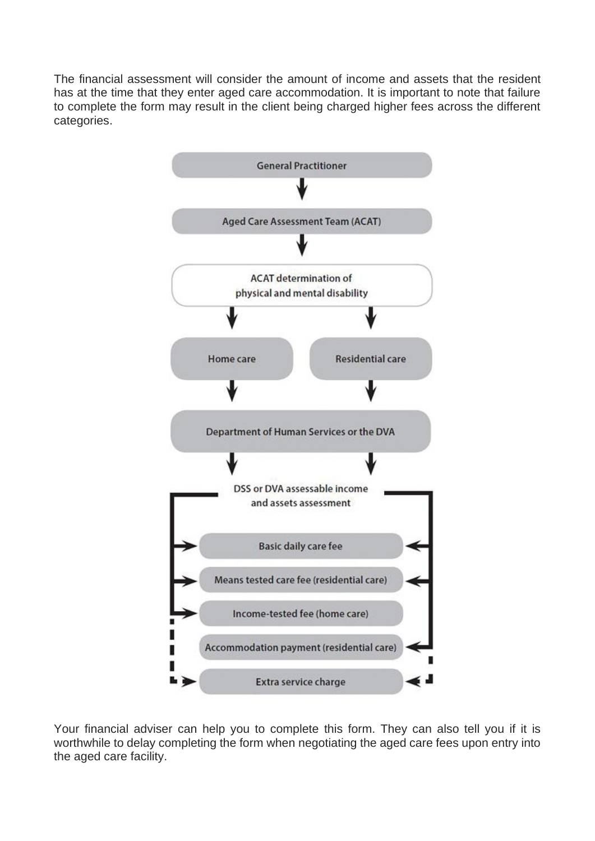The financial assessment will consider the amount of income and assets that the resident has at the time that they enter aged care accommodation. It is important to note that failure to complete the form may result in the client being charged higher fees across the different categories.



Your financial adviser can help you to complete this form. They can also tell you if it is worthwhile to delay completing the form when negotiating the aged care fees upon entry into the aged care facility.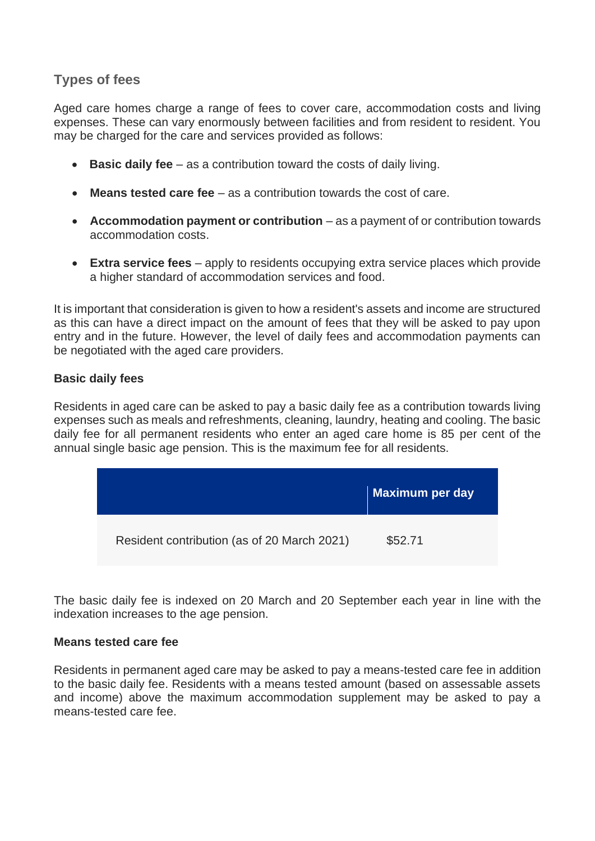# **Types of fees**

Aged care homes charge a range of fees to cover care, accommodation costs and living expenses. These can vary enormously between facilities and from resident to resident. You may be charged for the care and services provided as follows:

- **Basic daily fee** as a contribution toward the costs of daily living.
- **Means tested care fee** as a contribution towards the cost of care.
- **Accommodation payment or contribution** as a payment of or contribution towards accommodation costs.
- **Extra service fees** apply to residents occupying extra service places which provide a higher standard of accommodation services and food.

It is important that consideration is given to how a resident's assets and income are structured as this can have a direct impact on the amount of fees that they will be asked to pay upon entry and in the future. However, the level of daily fees and accommodation payments can be negotiated with the aged care providers.

#### **Basic daily fees**

Residents in aged care can be asked to pay a basic daily fee as a contribution towards living expenses such as meals and refreshments, cleaning, laundry, heating and cooling. The basic daily fee for all permanent residents who enter an aged care home is 85 per cent of the annual single basic age pension. This is the maximum fee for all residents.

|                                             | Maximum per day |
|---------------------------------------------|-----------------|
| Resident contribution (as of 20 March 2021) | \$52.71         |

The basic daily fee is indexed on 20 March and 20 September each year in line with the indexation increases to the age pension.

#### **Means tested care fee**

Residents in permanent aged care may be asked to pay a means-tested care fee in addition to the basic daily fee. Residents with a means tested amount (based on assessable assets and income) above the maximum accommodation supplement may be asked to pay a means-tested care fee.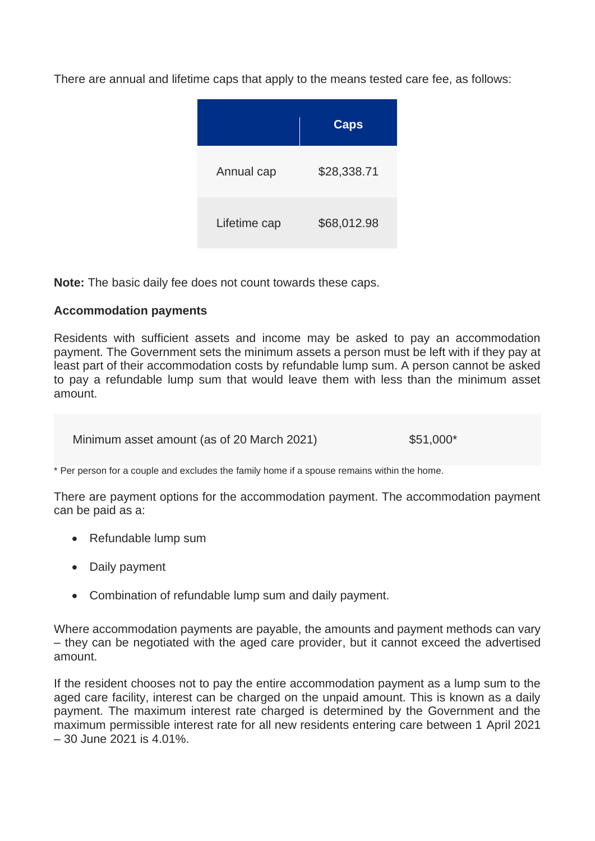There are annual and lifetime caps that apply to the means tested care fee, as follows:

|              | <b>Caps</b> |
|--------------|-------------|
| Annual cap   | \$28,338.71 |
| Lifetime cap | \$68,012.98 |

**Note:** The basic daily fee does not count towards these caps.

## **Accommodation payments**

Residents with sufficient assets and income may be asked to pay an accommodation payment. The Government sets the minimum assets a person must be left with if they pay at least part of their accommodation costs by refundable lump sum. A person cannot be asked to pay a refundable lump sum that would leave them with less than the minimum asset amount.

Minimum asset amount (as of 20 March 2021) \$51,000\*

\* Per person for a couple and excludes the family home if a spouse remains within the home.

There are payment options for the accommodation payment. The accommodation payment can be paid as a:

- Refundable lump sum
- Daily payment
- Combination of refundable lump sum and daily payment.

Where accommodation payments are payable, the amounts and payment methods can vary – they can be negotiated with the aged care provider, but it cannot exceed the advertised amount.

If the resident chooses not to pay the entire accommodation payment as a lump sum to the aged care facility, interest can be charged on the unpaid amount. This is known as a daily payment. The maximum interest rate charged is determined by the Government and the maximum permissible interest rate for all new residents entering care between 1 April 2021 – 30 June 2021 is 4.01%.